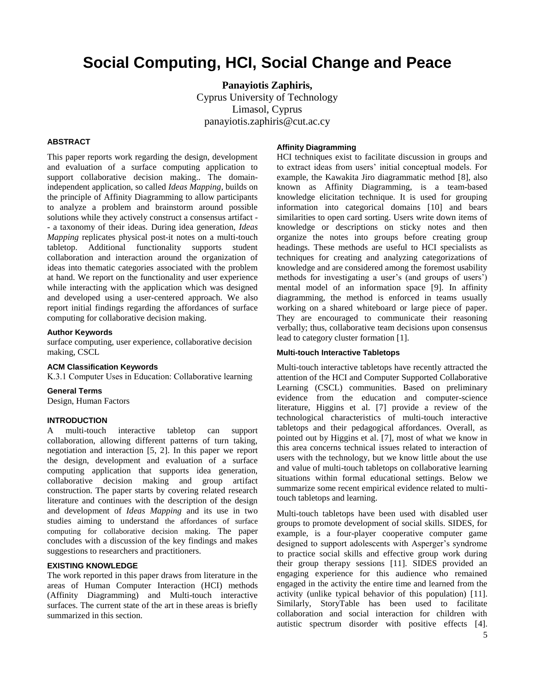# **Social Computing, HCI, Social Change and Peace**

**Panayiotis Zaphiris,**  Cyprus University of Technology Limasol, Cyprus panayiotis.zaphiris@cut.ac.cy

#### **ABSTRACT**

This paper reports work regarding the design, development and evaluation of a surface computing application to support collaborative decision making.. The domainindependent application, so called *Ideas Mapping*, builds on the principle of Affinity Diagramming to allow participants to analyze a problem and brainstorm around possible solutions while they actively construct a consensus artifact - - a taxonomy of their ideas. During idea generation, *Ideas Mapping* replicates physical post-it notes on a multi-touch tabletop. Additional functionality supports student collaboration and interaction around the organization of ideas into thematic categories associated with the problem at hand. We report on the functionality and user experience while interacting with the application which was designed and developed using a user-centered approach. We also report initial findings regarding the affordances of surface computing for collaborative decision making.

## **Author Keywords**

surface computing, user experience, collaborative decision making, CSCL

#### **ACM Classification Keywords**

K.3.1 Computer Uses in Education: Collaborative learning

## **General Terms**

Design, Human Factors

## **INTRODUCTION**

A multi-touch interactive tabletop can support collaboration, allowing different patterns of turn taking, negotiation and interaction [5, 2]. In this paper we report the design, development and evaluation of a surface computing application that supports idea generation, collaborative decision making and group artifact construction. The paper starts by covering related research literature and continues with the description of the design and development of *Ideas Mapping* and its use in two studies aiming to understand the affordances of surface computing for collaborative decision making. The paper concludes with a discussion of the key findings and makes suggestions to researchers and practitioners.

## **EXISTING KNOWLEDGE**

The work reported in this paper draws from literature in the areas of Human Computer Interaction (HCI) methods (Affinity Diagramming) and Multi-touch interactive surfaces. The current state of the art in these areas is briefly summarized in this section.

#### **Affinity Diagramming**

HCI techniques exist to facilitate discussion in groups and to extract ideas from users' initial conceptual models. For example, the Kawakita Jiro diagrammatic method [8], also known as Affinity Diagramming, is a team-based knowledge elicitation technique. It is used for grouping information into categorical domains [10] and bears similarities to open card sorting. Users write down items of knowledge or descriptions on sticky notes and then organize the notes into groups before creating group headings. These methods are useful to HCI specialists as techniques for creating and analyzing categorizations of knowledge and are considered among the foremost usability methods for investigating a user's (and groups of users') mental model of an information space [9]. In affinity diagramming, the method is enforced in teams usually working on a shared whiteboard or large piece of paper. They are encouraged to communicate their reasoning verbally; thus, collaborative team decisions upon consensus lead to category cluster formation [1].

#### **Multi-touch Interactive Tabletops**

Multi-touch interactive tabletops have recently attracted the attention of the HCI and Computer Supported Collaborative Learning (CSCL) communities. Based on preliminary evidence from the education and computer-science literature, Higgins et al. [7] provide a review of the technological characteristics of multi-touch interactive tabletops and their pedagogical affordances. Overall, as pointed out by Higgins et al. [7], most of what we know in this area concerns technical issues related to interaction of users with the technology, but we know little about the use and value of multi-touch tabletops on collaborative learning situations within formal educational settings. Below we summarize some recent empirical evidence related to multitouch tabletops and learning.

Multi-touch tabletops have been used with disabled user groups to promote development of social skills. SIDES, for example, is a four-player cooperative computer game designed to support adolescents with Asperger's syndrome to practice social skills and effective group work during their group therapy sessions [11]. SIDES provided an engaging experience for this audience who remained engaged in the activity the entire time and learned from the activity (unlike typical behavior of this population) [11]. Similarly, StoryTable has been used to facilitate collaboration and social interaction for children with autistic spectrum disorder with positive effects [4].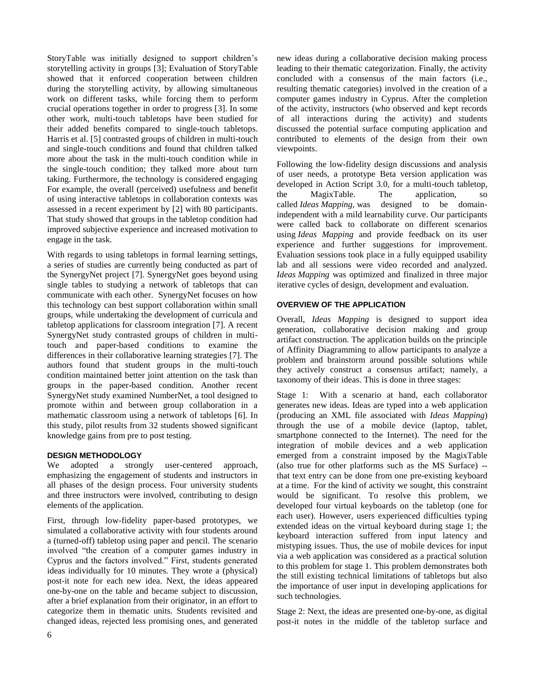StoryTable was initially designed to support children's storytelling activity in groups [3]; Evaluation of StoryTable showed that it enforced cooperation between children during the storytelling activity, by allowing simultaneous work on different tasks, while forcing them to perform crucial operations together in order to progress [3]. In some other work, multi-touch tabletops have been studied for their added benefits compared to single-touch tabletops. Harris et al. [5] contrasted groups of children in multi-touch and single-touch conditions and found that children talked more about the task in the multi-touch condition while in the single-touch condition; they talked more about turn taking. Furthermore, the technology is considered engaging For example, the overall (perceived) usefulness and benefit of using interactive tabletops in collaboration contexts was assessed in a recent experiment by [2] with 80 participants. That study showed that groups in the tabletop condition had improved subjective experience and increased motivation to engage in the task.

With regards to using tabletops in formal learning settings, a series of studies are currently being conducted as part of the SynergyNet project [7]. SynergyNet goes beyond using single tables to studying a network of tabletops that can communicate with each other. SynergyNet focuses on how this technology can best support collaboration within small groups, while undertaking the development of curricula and tabletop applications for classroom integration [7]. A recent SynergyNet study contrasted groups of children in multitouch and paper-based conditions to examine the differences in their collaborative learning strategies [7]. The authors found that student groups in the multi-touch condition maintained better joint attention on the task than groups in the paper-based condition. Another recent SynergyNet study examined NumberNet, a tool designed to promote within and between group collaboration in a mathematic classroom using a network of tabletops [6]. In this study, pilot results from 32 students showed significant knowledge gains from pre to post testing.

## **DESIGN METHODOLOGY**

We adopted a strongly user-centered approach, emphasizing the engagement of students and instructors in all phases of the design process. Four university students and three instructors were involved, contributing to design elements of the application.

First, through low-fidelity paper-based prototypes, we simulated a collaborative activity with four students around a (turned-off) tabletop using paper and pencil. The scenario involved "the creation of a computer games industry in Cyprus and the factors involved." First, students generated ideas individually for 10 minutes. They wrote a (physical) post-it note for each new idea. Next, the ideas appeared one-by-one on the table and became subject to discussion, after a brief explanation from their originator, in an effort to categorize them in thematic units. Students revisited and changed ideas, rejected less promising ones, and generated new ideas during a collaborative decision making process leading to their thematic categorization. Finally, the activity concluded with a consensus of the main factors (i.e., resulting thematic categories) involved in the creation of a computer games industry in Cyprus. After the completion of the activity, instructors (who observed and kept records of all interactions during the activity) and students discussed the potential surface computing application and contributed to elements of the design from their own viewpoints.

Following the low-fidelity design discussions and analysis of user needs, a prototype Beta version application was developed in Action Script 3.0, for a multi-touch tabletop, the MagixTable. The application, so called *Ideas Mapping,* was designed to be domainindependent with a mild learnability curve. Our participants were called back to collaborate on different scenarios using *Ideas Mapping* and provide feedback on its user experience and further suggestions for improvement. Evaluation sessions took place in a fully equipped usability lab and all sessions were video recorded and analyzed. *Ideas Mapping* was optimized and finalized in three major iterative cycles of design, development and evaluation.

# **OVERVIEW OF THE APPLICATION**

Overall, *Ideas Mapping* is designed to support idea generation, collaborative decision making and group artifact construction. The application builds on the principle of Affinity Diagramming to allow participants to analyze a problem and brainstorm around possible solutions while they actively construct a consensus artifact; namely, a taxonomy of their ideas. This is done in three stages:

Stage 1: With a scenario at hand, each collaborator generates new ideas. Ideas are typed into a web application (producing an XML file associated with *Ideas Mapping*) through the use of a mobile device (laptop, tablet, smartphone connected to the Internet). The need for the integration of mobile devices and a web application emerged from a constraint imposed by the MagixTable (also true for other platforms such as the MS Surface) - that text entry can be done from one pre-existing keyboard at a time. For the kind of activity we sought, this constraint would be significant. To resolve this problem, we developed four virtual keyboards on the tabletop (one for each user). However, users experienced difficulties typing extended ideas on the virtual keyboard during stage 1; the keyboard interaction suffered from input latency and mistyping issues. Thus, the use of mobile devices for input via a web application was considered as a practical solution to this problem for stage 1. This problem demonstrates both the still existing technical limitations of tabletops but also the importance of user input in developing applications for such technologies.

Stage 2: Next, the ideas are presented one-by-one, as digital post-it notes in the middle of the tabletop surface and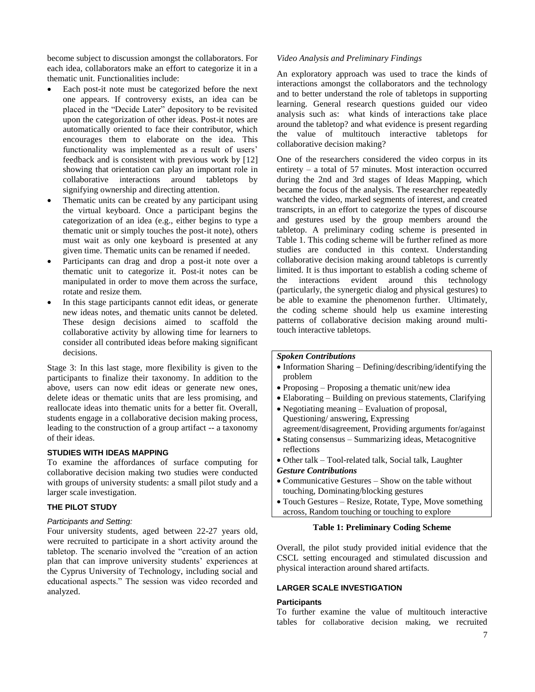become subject to discussion amongst the collaborators. For each idea, collaborators make an effort to categorize it in a thematic unit. Functionalities include:

- Each post-it note must be categorized before the next one appears. If controversy exists, an idea can be placed in the "Decide Later" depository to be revisited upon the categorization of other ideas. Post-it notes are automatically oriented to face their contributor, which encourages them to elaborate on the idea. This functionality was implemented as a result of users' feedback and is consistent with previous work by [12] showing that orientation can play an important role in collaborative interactions around tabletops by signifying ownership and directing attention.
- Thematic units can be created by any participant using the virtual keyboard. Once a participant begins the categorization of an idea (e.g., either begins to type a thematic unit or simply touches the post-it note), others must wait as only one keyboard is presented at any given time. Thematic units can be renamed if needed.
- Participants can drag and drop a post-it note over a thematic unit to categorize it. Post-it notes can be manipulated in order to move them across the surface, rotate and resize them.
- In this stage participants cannot edit ideas, or generate new ideas notes, and thematic units cannot be deleted. These design decisions aimed to scaffold the collaborative activity by allowing time for learners to consider all contributed ideas before making significant decisions.

Stage 3: In this last stage, more flexibility is given to the participants to finalize their taxonomy. In addition to the above, users can now edit ideas or generate new ones, delete ideas or thematic units that are less promising, and reallocate ideas into thematic units for a better fit. Overall, students engage in a collaborative decision making process, leading to the construction of a group artifact -- a taxonomy of their ideas.

## **STUDIES WITH IDEAS MAPPING**

To examine the affordances of surface computing for collaborative decision making two studies were conducted with groups of university students: a small pilot study and a larger scale investigation.

## **THE PILOT STUDY**

#### *Participants and Setting:*

Four university students, aged between 22-27 years old, were recruited to participate in a short activity around the tabletop. The scenario involved the "creation of an action plan that can improve university students' experiences at the Cyprus University of Technology, including social and educational aspects." The session was video recorded and analyzed.

#### *Video Analysis and Preliminary Findings*

An exploratory approach was used to trace the kinds of interactions amongst the collaborators and the technology and to better understand the role of tabletops in supporting learning. General research questions guided our video analysis such as: what kinds of interactions take place around the tabletop? and what evidence is present regarding the value of multitouch interactive tabletops for collaborative decision making?

One of the researchers considered the video corpus in its entirety – a total of 57 minutes. Most interaction occurred during the 2nd and 3rd stages of Ideas Mapping, which became the focus of the analysis. The researcher repeatedly watched the video, marked segments of interest, and created transcripts, in an effort to categorize the types of discourse and gestures used by the group members around the tabletop. A preliminary coding scheme is presented in Table 1. This coding scheme will be further refined as more studies are conducted in this context. Understanding collaborative decision making around tabletops is currently limited. It is thus important to establish a coding scheme of the interactions evident around this technology (particularly, the synergetic dialog and physical gestures) to be able to examine the phenomenon further. Ultimately, the coding scheme should help us examine interesting patterns of collaborative decision making around multitouch interactive tabletops.

## *Spoken Contributions*

- $\bullet$  Information Sharing Defining/describing/identifying the problem
- Proposing Proposing a thematic unit/new idea
- Elaborating Building on previous statements, Clarifying
- Negotiating meaning Evaluation of proposal, Questioning/ answering, Expressing agreement/disagreement, Providing arguments for/against
- Stating consensus Summarizing ideas, Metacognitive reflections
- Other talk Tool-related talk, Social talk, Laughter *Gesture Contributions*
- Communicative Gestures Show on the table without touching, Dominating/blocking gestures
- Touch Gestures Resize, Rotate, Type, Move something across, Random touching or touching to explore

## **Table 1: Preliminary Coding Scheme**

Overall, the pilot study provided initial evidence that the CSCL setting encouraged and stimulated discussion and physical interaction around shared artifacts.

## **LARGER SCALE INVESTIGATION**

#### **Participants**

To further examine the value of multitouch interactive tables for collaborative decision making, we recruited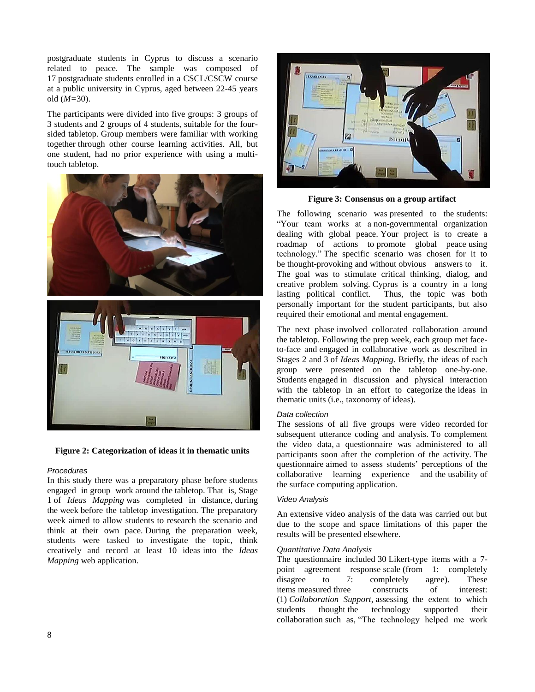postgraduate students in Cyprus to discuss a scenario related to peace. The sample was composed of 17 postgraduate students enrolled in a CSCL/CSCW course at a public university in Cyprus, aged between 22-45 years old (*M=*30).

The participants were divided into five groups: 3 groups of 3 students and 2 groups of 4 students, suitable for the foursided tabletop. Group members were familiar with working together through other course learning activities. All, but one student, had no prior experience with using a multitouch tabletop.







## *Procedures*

In this study there was a preparatory phase before students engaged in group work around the tabletop. That is, Stage 1 of *Ideas Mapping* was completed in distance, during the week before the tabletop investigation. The preparatory week aimed to allow students to research the scenario and think at their own pace. During the preparation week, students were tasked to investigate the topic, think creatively and record at least 10 ideas into the *Ideas Mapping* web application.



**Figure 3: Consensus on a group artifact**

The following scenario was presented to the students: "Your team works at a non-governmental organization dealing with global peace. Your project is to create a roadmap of actions to promote global peace using technology." The specific scenario was chosen for it to be thought-provoking and without obvious answers to it. The goal was to stimulate critical thinking, dialog, and creative problem solving. Cyprus is a country in a long lasting political conflict. Thus, the topic was both personally important for the student participants, but also required their emotional and mental engagement.

The next phase involved collocated collaboration around the tabletop. Following the prep week, each group met faceto-face and engaged in collaborative work as described in Stages 2 and 3 of *Ideas Mapping*. Briefly, the ideas of each group were presented on the tabletop one-by-one. Students engaged in discussion and physical interaction with the tabletop in an effort to categorize the ideas in thematic units (i.e., taxonomy of ideas).

#### *Data collection*

The sessions of all five groups were video recorded for subsequent utterance coding and analysis. To complement the video data, a questionnaire was administered to all participants soon after the completion of the activity. The questionnaire aimed to assess students' perceptions of the collaborative learning experience and the usability of the surface computing application.

## *Video Analysis*

An extensive video analysis of the data was carried out but due to the scope and space limitations of this paper the results will be presented elsewhere.

## *Quantitative Data Analysis*

The questionnaire included 30 Likert-type items with a 7 point agreement response scale (from 1: completely disagree to 7: completely agree). These items measured three constructs of interest: (1) *Collaboration Support*, assessing the extent to which students thought the technology supported their collaboration such as, "The technology helped me work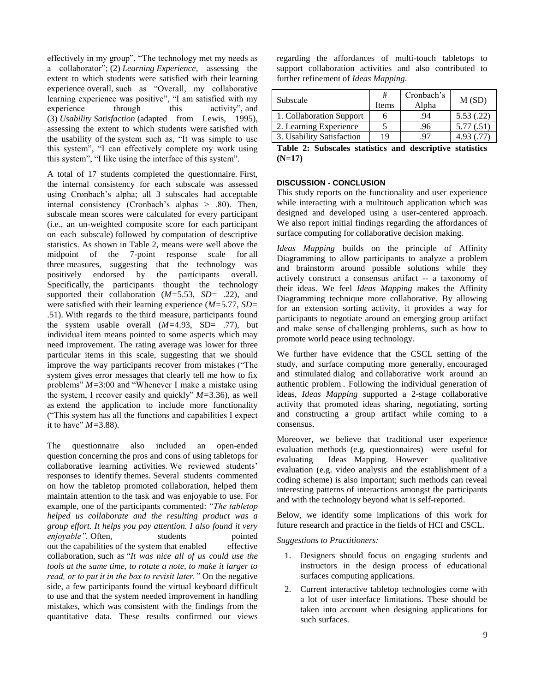effectively in my group", "The technology met my needs as a collaborator"; (2) *Learning Experience*, assessing the extent to which students were satisfied with their learning experience overall, such as "Overall, my collaborative learning experience was positive", "I am satisfied with my experience through this activity", and (3) *Usability Satisfaction* (adapted from Lewis, 1995), assessing the extent to which students were satisfied with the usability of the system such as, "It was simple to use this system", "I can effectively complete my work using this system", "I like using the interface of this system".

A total of 17 students completed the questionnaire. First, the internal consistency for each subscale was assessed using Cronbach's alpha; all 3 subscales had acceptable internal consistency (Cronbach's alphas > .80). Then, subscale mean scores were calculated for every participant (i.e., an un-weighted composite score for each participant on each subscale) followed by computation of descriptive statistics. As shown in Table 2, means were well above the midpoint of the 7-point response scale for all three measures, suggesting that the technology was positively endorsed by the participants overall. Specifically, the participants thought the technology supported their collaboration (*M=*5.53, *SD=* .22), and were satisfied with their learning experience (*M=*5.77, *SD=* .51). With regards to the third measure, participants found the system usable overall (*M=*4.93, SD= .77), but individual item means pointed to some aspects which may need improvement. The rating average was lower for three particular items in this scale, suggesting that we should improve the way participants recover from mistakes ("The system gives error messages that clearly tell me how to fix problems" *M=*3:00 and "Whenever I make a mistake using the system, I recover easily and quickly" *M=*3.36), as well as extend the application to include more functionality ("This system has all the functions and capabilities I expect it to have" *M=*3.88).

The questionnaire also included an open-ended question concerning the pros and cons of using tabletops for collaborative learning activities. We reviewed students' responses to identify themes. Several students commented on how the tabletop promoted collaboration, helped them maintain attention to the task and was enjoyable to use. For example, one of the participants commented: *"The tabletop helped us collaborate and the resulting product was a group effort. It helps you pay attention. I also found it very enjoyable"*. Often, students pointed out the capabilities of the system that enabled effective collaboration, such as "*It was nice all of us could use the tools at the same time, to rotate a note, to make it larger to read, or to put it in the box to revisit later."* On the negative side, a few participants found the virtual keyboard difficult to use and that the system needed improvement in handling mistakes, which was consistent with the findings from the quantitative data. These results confirmed our views

regarding the affordances of multi-touch tabletops to support collaboration activities and also contributed to further refinement of *Ideas Mapping*.

| Subscale                  | #<br>Items | Cronbach's<br>Alpha | M(SD)     |
|---------------------------|------------|---------------------|-----------|
| 1. Collaboration Support  |            | .94                 | 5.53(.22) |
| 2. Learning Experience    |            | .96                 | 5.77(.51) |
| 3. Usability Satisfaction | 19         | 97                  |           |

|          |  |  | Table 2: Subscales statistics and descriptive statistics |  |
|----------|--|--|----------------------------------------------------------|--|
| $(N=17)$ |  |  |                                                          |  |

#### **DISCUSSION - CONCLUSION**

This study reports on the functionality and user experience while interacting with a multitouch application which was designed and developed using a user-centered approach. We also report initial findings regarding the affordances of surface computing for collaborative decision making.

*Ideas Mapping* builds on the principle of Affinity Diagramming to allow participants to analyze a problem and brainstorm around possible solutions while they actively construct a consensus artifact -- a taxonomy of their ideas. We feel *Ideas Mapping* makes the Affinity Diagramming technique more collaborative. By allowing for an extension sorting activity, it provides a way for participants to negotiate around an emerging group artifact and make sense of challenging problems, such as how to promote world peace using technology.

We further have evidence that the CSCL setting of the study, and surface computing more generally, encouraged and stimulated dialog and collaborative work around an authentic problem . Following the individual generation of ideas, *Ideas Mapping* supported a 2-stage collaborative activity that promoted ideas sharing, negotiating, sorting and constructing a group artifact while coming to a consensus.

Moreover, we believe that traditional user experience evaluation methods (e.g. questionnaires) were useful for evaluating Ideas Mapping. However qualitative evaluation (e.g. video analysis and the establishment of a coding scheme) is also important; such methods can reveal interesting patterns of interactions amongst the participants and with the technology beyond what is self-reported.

Below, we identify some implications of this work for future research and practice in the fields of HCI and CSCL.

*Suggestions to Practitioners:* 

- 1. Designers should focus on engaging students and instructors in the design process of educational surfaces computing applications.
- 2. Current interactive tabletop technologies come with a lot of user interface limitations. These should be taken into account when designing applications for such surfaces.